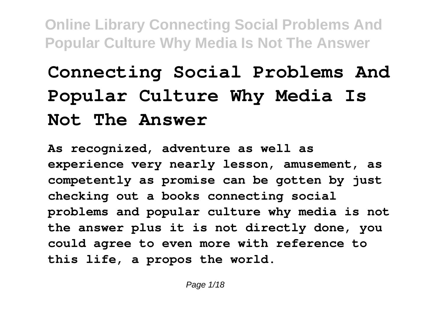## **Connecting Social Problems And Popular Culture Why Media Is Not The Answer**

**As recognized, adventure as well as experience very nearly lesson, amusement, as competently as promise can be gotten by just checking out a books connecting social problems and popular culture why media is not the answer plus it is not directly done, you could agree to even more with reference to this life, a propos the world.**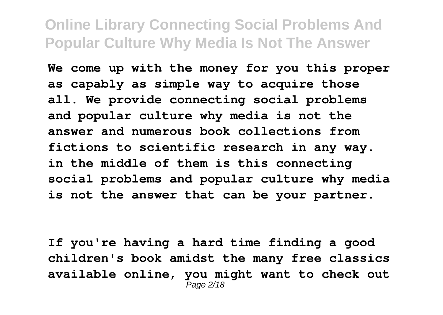**We come up with the money for you this proper as capably as simple way to acquire those all. We provide connecting social problems and popular culture why media is not the answer and numerous book collections from fictions to scientific research in any way. in the middle of them is this connecting social problems and popular culture why media is not the answer that can be your partner.**

**If you're having a hard time finding a good children's book amidst the many free classics available online, you might want to check out** Page 2/18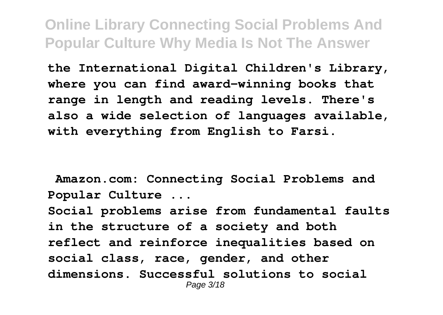**the International Digital Children's Library, where you can find award-winning books that range in length and reading levels. There's also a wide selection of languages available, with everything from English to Farsi.**

**Amazon.com: Connecting Social Problems and Popular Culture ...**

**Social problems arise from fundamental faults in the structure of a society and both reflect and reinforce inequalities based on social class, race, gender, and other dimensions. Successful solutions to social** Page 3/18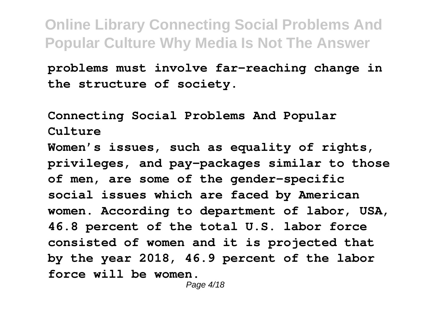**problems must involve far-reaching change in the structure of society.**

**Connecting Social Problems And Popular Culture Women's issues, such as equality of rights, privileges, and pay-packages similar to those of men, are some of the gender-specific social issues which are faced by American women. According to department of labor, USA, 46.8 percent of the total U.S. labor force consisted of women and it is projected that by the year 2018, 46.9 percent of the labor force will be women.**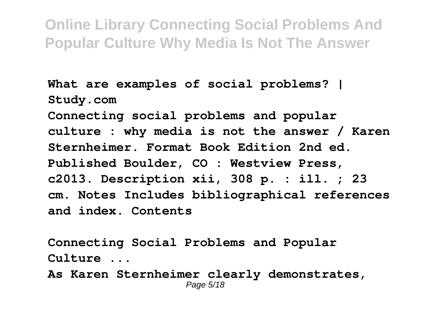**What are examples of social problems? | Study.com Connecting social problems and popular culture : why media is not the answer / Karen Sternheimer. Format Book Edition 2nd ed. Published Boulder, CO : Westview Press, c2013. Description xii, 308 p. : ill. ; 23 cm. Notes Includes bibliographical references and index. Contents**

**Connecting Social Problems and Popular Culture ...**

**As Karen Sternheimer clearly demonstrates,** Page 5/18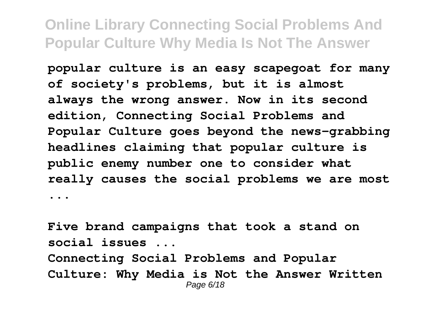**popular culture is an easy scapegoat for many of society's problems, but it is almost always the wrong answer. Now in its second edition, Connecting Social Problems and Popular Culture goes beyond the news-grabbing headlines claiming that popular culture is public enemy number one to consider what really causes the social problems we are most ...**

**Five brand campaigns that took a stand on social issues ... Connecting Social Problems and Popular Culture: Why Media is Not the Answer Written** Page 6/18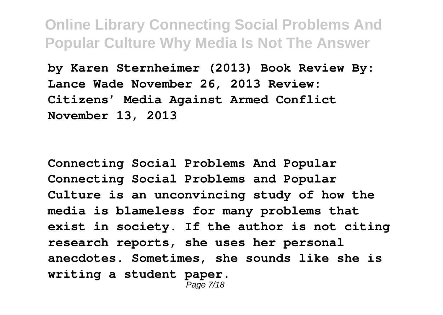**by Karen Sternheimer (2013) Book Review By: Lance Wade November 26, 2013 Review: Citizens' Media Against Armed Conflict November 13, 2013**

**Connecting Social Problems And Popular Connecting Social Problems and Popular Culture is an unconvincing study of how the media is blameless for many problems that exist in society. If the author is not citing research reports, she uses her personal anecdotes. Sometimes, she sounds like she is writing a student paper.**

Page 7/18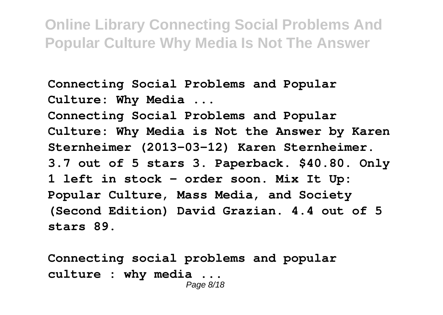**Connecting Social Problems and Popular Culture: Why Media ... Connecting Social Problems and Popular Culture: Why Media is Not the Answer by Karen Sternheimer (2013-03-12) Karen Sternheimer. 3.7 out of 5 stars 3. Paperback. \$40.80. Only 1 left in stock - order soon. Mix It Up: Popular Culture, Mass Media, and Society (Second Edition) David Grazian. 4.4 out of 5 stars 89.**

**Connecting social problems and popular culture : why media ...** Page 8/18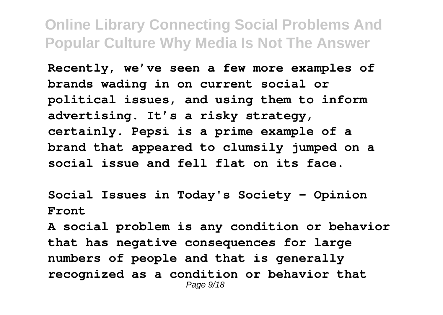**Recently, we've seen a few more examples of brands wading in on current social or political issues, and using them to inform advertising. It's a risky strategy, certainly. Pepsi is a prime example of a brand that appeared to clumsily jumped on a social issue and fell flat on its face.**

**Social Issues in Today's Society - Opinion Front**

**A social problem is any condition or behavior that has negative consequences for large numbers of people and that is generally recognized as a condition or behavior that** Page  $9/18$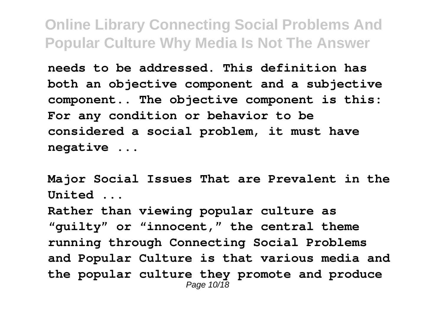**needs to be addressed. This definition has both an objective component and a subjective component.. The objective component is this: For any condition or behavior to be considered a social problem, it must have negative ...**

**Major Social Issues That are Prevalent in the United ...**

**Rather than viewing popular culture as "guilty" or "innocent," the central theme running through Connecting Social Problems and Popular Culture is that various media and the popular culture they promote and produce** Page 10/18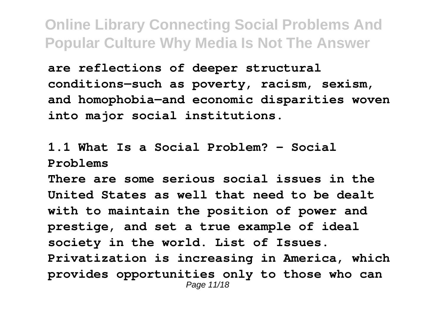**are reflections of deeper structural conditions—such as poverty, racism, sexism, and homophobia—and economic disparities woven into major social institutions.**

**1.1 What Is a Social Problem? – Social Problems**

**There are some serious social issues in the United States as well that need to be dealt with to maintain the position of power and prestige, and set a true example of ideal society in the world. List of Issues. Privatization is increasing in America, which provides opportunities only to those who can** Page 11/18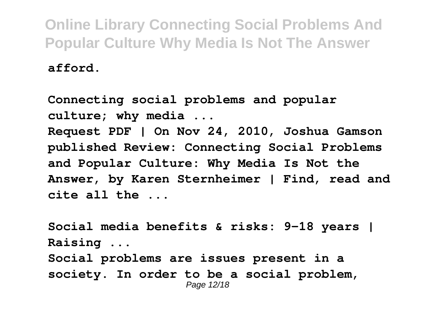**afford.**

**Connecting social problems and popular culture; why media ... Request PDF | On Nov 24, 2010, Joshua Gamson published Review: Connecting Social Problems and Popular Culture: Why Media Is Not the Answer, by Karen Sternheimer | Find, read and cite all the ...**

**Social media benefits & risks: 9-18 years | Raising ... Social problems are issues present in a society. In order to be a social problem,** Page 12/18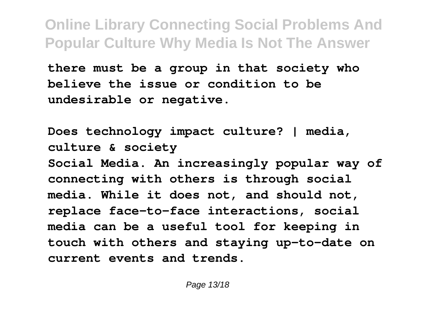**there must be a group in that society who believe the issue or condition to be undesirable or negative.**

**Does technology impact culture? | media, culture & society Social Media. An increasingly popular way of connecting with others is through social media. While it does not, and should not, replace face-to-face interactions, social media can be a useful tool for keeping in touch with others and staying up-to-date on current events and trends.**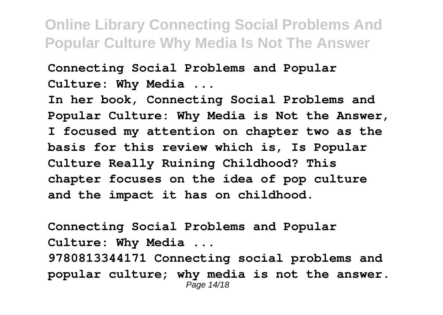**Connecting Social Problems and Popular Culture: Why Media ...**

**In her book, Connecting Social Problems and Popular Culture: Why Media is Not the Answer, I focused my attention on chapter two as the basis for this review which is, Is Popular Culture Really Ruining Childhood? This chapter focuses on the idea of pop culture and the impact it has on childhood.**

**Connecting Social Problems and Popular Culture: Why Media ... 9780813344171 Connecting social problems and popular culture; why media is not the answer.** Page 14/18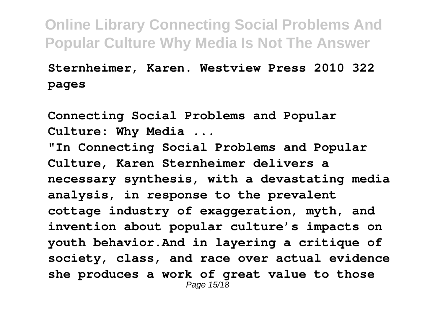## **Sternheimer, Karen. Westview Press 2010 322 pages**

**Connecting Social Problems and Popular Culture: Why Media ... "In Connecting Social Problems and Popular Culture, Karen Sternheimer delivers a necessary synthesis, with a devastating media analysis, in response to the prevalent cottage industry of exaggeration, myth, and invention about popular culture's impacts on youth behavior.And in layering a critique of society, class, and race over actual evidence she produces a work of great value to those** Page 15/18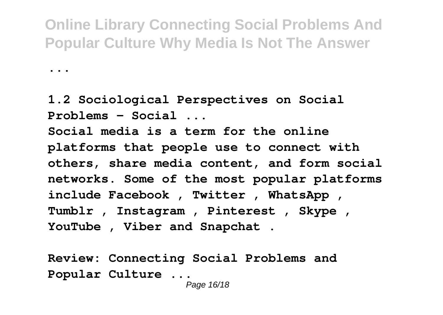**1.2 Sociological Perspectives on Social Problems – Social ...**

**...**

**Social media is a term for the online platforms that people use to connect with others, share media content, and form social networks. Some of the most popular platforms include Facebook , Twitter , WhatsApp , Tumblr , Instagram , Pinterest , Skype , YouTube , Viber and Snapchat .**

**Review: Connecting Social Problems and Popular Culture ...**

Page 16/18